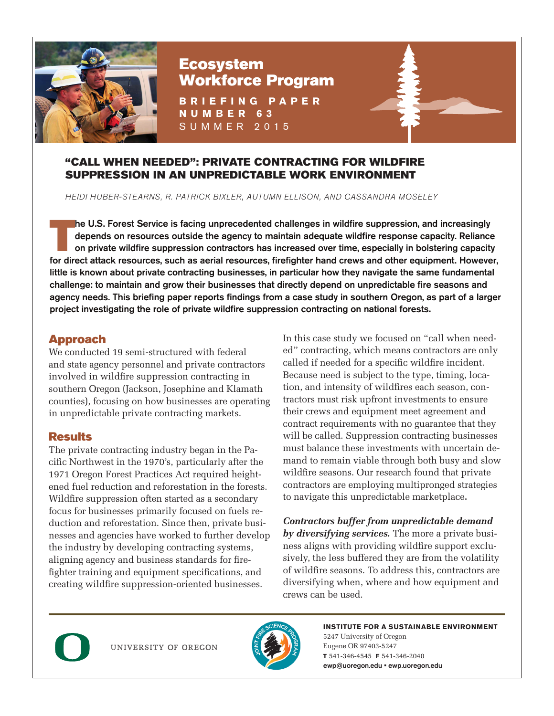

# Ecosystem Workforce Program

**BRIEFING PAPER NUMBER 63** SUMMER 2015

#### "CALL WHEN NEEDED": PRIVATE CONTRACTING FOR WILDFIRE SUPPRESSION IN AN UNPREDICTABLE WORK ENVIRONMENT

HEIDI HUBER-STEARNS, R. PATRICK BIXLER, AUTUMN ELLISON, AND CASSANDRA MOSELEY

The U.S. Forest Service is facing unprecedented challenges in wildfire suppression, and increasingly<br>depends on resources outside the agency to maintain adequate wildfire response capacity. Reliance<br>on private wildfire sup depends on resources outside the agency to maintain adequate wildfire response capacity. Reliance for direct attack resources, such as aerial resources, firefighter hand crews and other equipment. However, little is known about private contracting businesses, in particular how they navigate the same fundamental challenge: to maintain and grow their businesses that directly depend on unpredictable fire seasons and agency needs. This briefing paper reports findings from a case study in southern Oregon, as part of a larger project investigating the role of private wildfire suppression contracting on national forests**.**

## Approach

We conducted 19 semi-structured with federal and state agency personnel and private contractors involved in wildfire suppression contracting in southern Oregon (Jackson, Josephine and Klamath counties), focusing on how businesses are operating in unpredictable private contracting markets.

## **Results**

The private contracting industry began in the Pacific Northwest in the 1970's, particularly after the 1971 Oregon Forest Practices Act required heightened fuel reduction and reforestation in the forests. Wildfire suppression often started as a secondary focus for businesses primarily focused on fuels reduction and reforestation. Since then, private businesses and agencies have worked to further develop the industry by developing contracting systems, aligning agency and business standards for firefighter training and equipment specifications, and creating wildfire suppression-oriented businesses.

In this case study we focused on "call when needed" contracting, which means contractors are only called if needed for a specific wildfire incident. Because need is subject to the type, timing, location, and intensity of wildfires each season, contractors must risk upfront investments to ensure their crews and equipment meet agreement and contract requirements with no guarantee that they will be called. Suppression contracting businesses must balance these investments with uncertain demand to remain viable through both busy and slow wildfire seasons. Our research found that private contractors are employing multipronged strategies to navigate this unpredictable marketplace**.**

*Contractors buffer from unpredictable demand by diversifying services.* The more a private business aligns with providing wildfire support exclusively, the less buffered they are from the volatility of wildfire seasons. To address this, contractors are diversifying when, where and how equipment and crews can be used.



UNIVERSITY OF OREGON



**INSTITUTE FOR A SUSTAINABLE ENVIRONMENT** 5247 University of Oregon Eugene OR 97403-5247 **T** 541-346-4545 **F** 541-346-2040 ewp@uoregon.edu • ewp.uoregon.edu